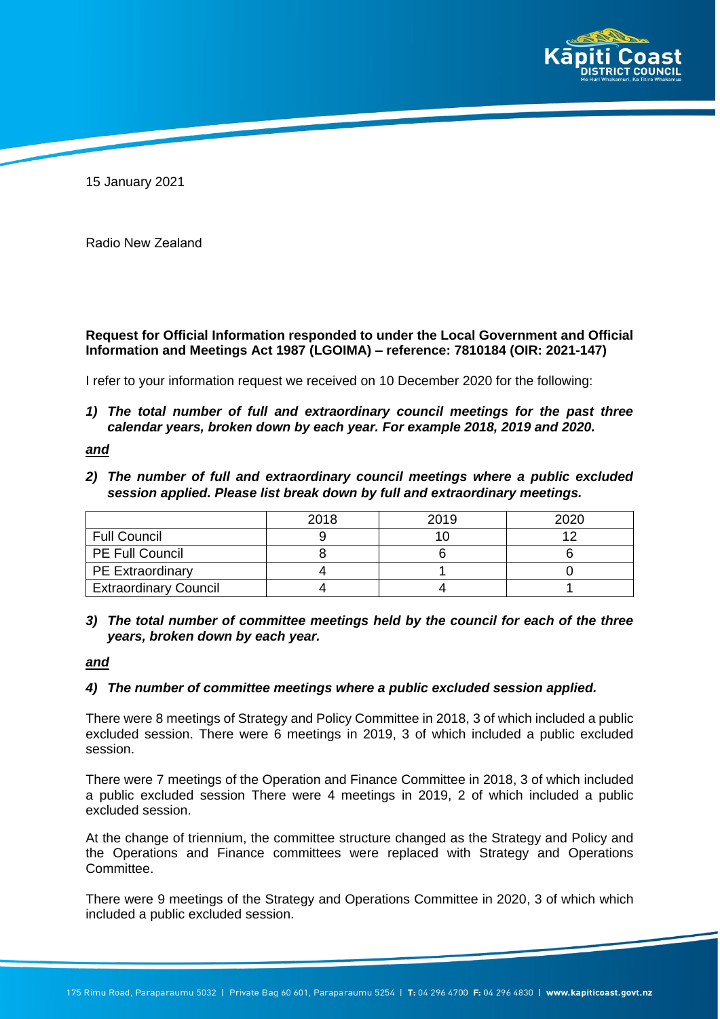

15 January 2021

Radio New Zealand

**Request for Official Information responded to under the Local Government and Official Information and Meetings Act 1987 (LGOIMA) – reference: 7810184 (OIR: 2021-147)**

I refer to your information request we received on 10 December 2020 for the following:

*1) The total number of full and extraordinary council meetings for the past three calendar years, broken down by each year. For example 2018, 2019 and 2020.*

*and*

*2) The number of full and extraordinary council meetings where a public excluded session applied. Please list break down by full and extraordinary meetings.*

|                              | 2018 | 2019 | 2020 |
|------------------------------|------|------|------|
| <b>Full Council</b>          |      |      |      |
| <b>PE Full Council</b>       |      |      |      |
| <b>PE Extraordinary</b>      |      |      |      |
| <b>Extraordinary Council</b> |      |      |      |

*3) The total number of committee meetings held by the council for each of the three years, broken down by each year.*

### *and*

### *4) The number of committee meetings where a public excluded session applied.*

There were 8 meetings of Strategy and Policy Committee in 2018, 3 of which included a public excluded session. There were 6 meetings in 2019, 3 of which included a public excluded session.

There were 7 meetings of the Operation and Finance Committee in 2018, 3 of which included a public excluded session There were 4 meetings in 2019, 2 of which included a public excluded session.

At the change of triennium, the committee structure changed as the Strategy and Policy and the Operations and Finance committees were replaced with Strategy and Operations Committee.

There were 9 meetings of the Strategy and Operations Committee in 2020, 3 of which which included a public excluded session.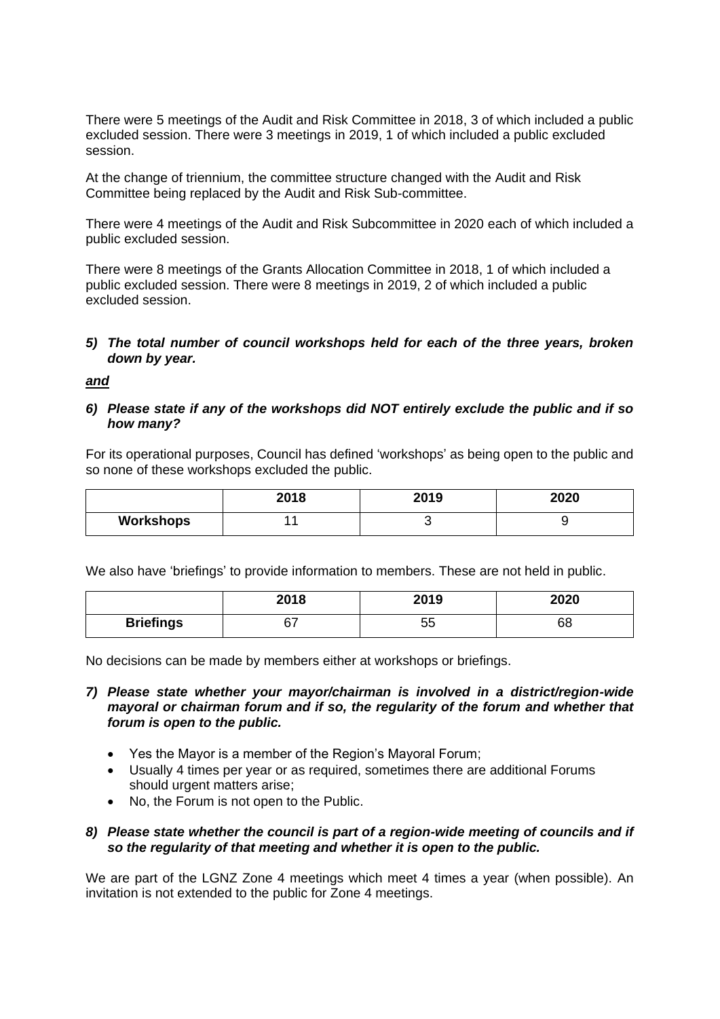There were 5 meetings of the Audit and Risk Committee in 2018, 3 of which included a public excluded session. There were 3 meetings in 2019, 1 of which included a public excluded session.

At the change of triennium, the committee structure changed with the Audit and Risk Committee being replaced by the Audit and Risk Sub-committee.

There were 4 meetings of the Audit and Risk Subcommittee in 2020 each of which included a public excluded session.

There were 8 meetings of the Grants Allocation Committee in 2018, 1 of which included a public excluded session. There were 8 meetings in 2019, 2 of which included a public excluded session.

# *5) The total number of council workshops held for each of the three years, broken down by year.*

*and*

### *6) Please state if any of the workshops did NOT entirely exclude the public and if so how many?*

For its operational purposes, Council has defined 'workshops' as being open to the public and so none of these workshops excluded the public.

|           | 2018 | 2019 | 2020 |
|-----------|------|------|------|
| Workshops |      |      |      |

We also have 'briefings' to provide information to members. These are not held in public.

|                  | 2018 | 2019     | 2020 |
|------------------|------|----------|------|
| <b>Briefings</b> | ~-   | にに<br>ບປ | 68   |

No decisions can be made by members either at workshops or briefings.

# *7) Please state whether your mayor/chairman is involved in a district/region-wide mayoral or chairman forum and if so, the regularity of the forum and whether that forum is open to the public.*

- Yes the Mayor is a member of the Region's Mayoral Forum;
- Usually 4 times per year or as required, sometimes there are additional Forums should urgent matters arise;
- No, the Forum is not open to the Public.

## *8) Please state whether the council is part of a region-wide meeting of councils and if so the regularity of that meeting and whether it is open to the public.*

We are part of the LGNZ Zone 4 meetings which meet 4 times a year (when possible). An invitation is not extended to the public for Zone 4 meetings.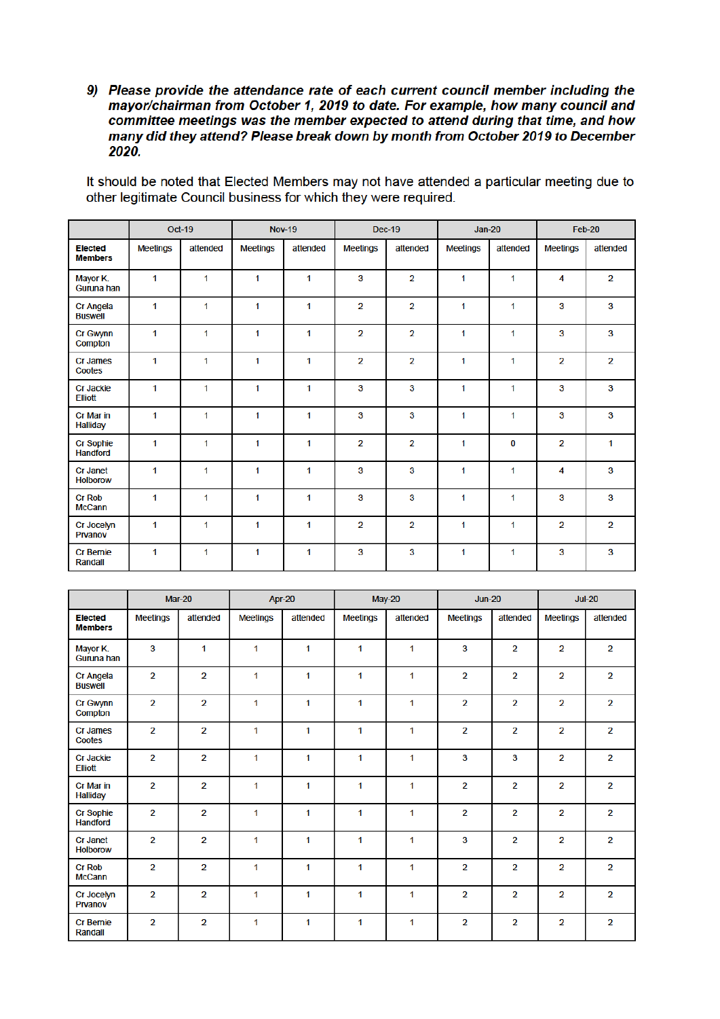9) Please provide the attendance rate of each current council member including the mayor/chairman from October 1, 2019 to date. For example, how many council and committee meetings was the member expected to attend during that time, and how many did they attend? Please break down by month from October 2019 to December 2020.

|                                    |                 | Oct-19   |                 | <b>Nov-19</b> |                 | <b>Dec-19</b>  | $Jan-20$        |          | Feb-20          |                |
|------------------------------------|-----------------|----------|-----------------|---------------|-----------------|----------------|-----------------|----------|-----------------|----------------|
| <b>Elected</b><br><b>Members</b>   | <b>Meetings</b> | attended | <b>Meetings</b> | attended      | <b>Meetings</b> | attended       | <b>Meetings</b> | attended | <b>Meetings</b> | attended       |
| Mayor K.<br>Guruna han             | 1               | 1        | 1               | 1             | 3               | $\overline{2}$ | 1               | 1        | 4               | $\overline{2}$ |
| <b>Cr Angela</b><br><b>Buswell</b> | 1               | 1        | 1               | 1             | $\overline{2}$  | $\overline{2}$ | 1               | 1        | 3               | $\mathbf{3}$   |
| Cr Gwynn<br>Compton                | 1               | 1        | 1               | 1             | $\overline{2}$  | $\overline{2}$ | 1               | 1        | 3               | $\mathbf{3}$   |
| Cr James<br>Cootes                 | 1               | 1        | 1               | $\mathbf{1}$  | $\overline{2}$  | $\overline{2}$ | 1               | 1        | $\overline{2}$  | $\overline{2}$ |
| <b>Cr Jackie</b><br><b>Elliott</b> | 1               | 1        | 1               | 1             | 3               | 3              | 1               | 1        | $\mathbf{3}$    | $\mathbf{3}$   |
| Cr Mar in<br><b>Halliday</b>       | 1               | 1        | 1               | 1             | 3               | 3              | 1               | 1        | 3               | $\mathbf{3}$   |
| Cr Sophie<br><b>Handford</b>       | 1               | 1        | 1               | 1             | $\overline{2}$  | $\overline{2}$ | 1               | 0        | $\overline{2}$  | 1              |
| <b>Cr Janet</b><br><b>Holborow</b> | 1               | 1        | 1               | 1             | 3               | 3              | 1               | 1        | 4               | $\mathbf{3}$   |
| <b>Cr Rob</b><br><b>McCann</b>     | 1               | 1        | 1               | 1             | 3               | 3              | 1               | 1        | $\mathbf{3}$    | $\mathbf{3}$   |
| Cr Jocelyn<br>Prvanov              | 1               | 1        | 1               | 1             | $\overline{2}$  | $\overline{2}$ | 1               | 1        | $\overline{2}$  | $\overline{2}$ |
| <b>Cr Bernie</b><br>Randall        | 1               | 1        | 1               | 1             | 3               | 3              | 1               | 1        | 3               | $\mathbf{3}$   |

It should be noted that Elected Members may not have attended a particular meeting due to other legitimate Council business for which they were required.

|                                     |                 | May-20<br><b>Mar-20</b><br>Apr-20 |                 | $Jun-20$ |                 | $Jul-20$ |                 |                |                 |                |
|-------------------------------------|-----------------|-----------------------------------|-----------------|----------|-----------------|----------|-----------------|----------------|-----------------|----------------|
| <b>Elected</b><br><b>Members</b>    | <b>Meetings</b> | attended                          | <b>Meetings</b> | attended | <b>Meetings</b> | attended | <b>Meetings</b> | attended       | <b>Meetings</b> | attended       |
| Mayor K.<br>Guruna han              | 3               | $\mathbf{1}$                      | 1               | 1        | 1               | 1        | 3               | $\overline{2}$ | $\overline{2}$  | $\overline{2}$ |
| Cr Angela<br><b>Buswell</b>         | $\overline{2}$  | $\overline{2}$                    | $\mathbf{1}$    | 1        | 1               | 1        | 2               | 2              | 2               | $\overline{2}$ |
| <b>Cr Gwynn</b><br>Compton          | $\overline{2}$  | $\overline{2}$                    | 1               | 1        | 1               | 1        | 2               | $\overline{2}$ | $\overline{2}$  | $\overline{2}$ |
| Cr James<br>Cootes                  | $\overline{2}$  | $\overline{2}$                    | 1               | 1        | 1               | 1        | $\overline{2}$  | $\overline{2}$ | $\overline{2}$  | $\overline{2}$ |
| <b>Cr Jackie</b><br><b>Elliott</b>  | $\overline{2}$  | $\overline{2}$                    | 1               | 1        | 1               | 1        | 3               | 3              | $\overline{2}$  | $\overline{2}$ |
| Cr Mar in<br>Halliday               | $\overline{2}$  | $\overline{2}$                    | 1               | 1        | 1               | 1        | $\overline{2}$  | $\overline{2}$ | $\overline{2}$  | $\overline{2}$ |
| <b>Cr Sophie</b><br><b>Handford</b> | $\overline{2}$  | $\overline{2}$                    | 1               | 1        | 1               | 1        | $\overline{2}$  | $\overline{2}$ | $\overline{2}$  | $\overline{2}$ |
| <b>Cr Janet</b><br><b>Holborow</b>  | $\overline{2}$  | $\overline{2}$                    | $\mathbf{1}$    | 1        | 1               | 1        | 3               | $\overline{2}$ | $\overline{2}$  | $\overline{2}$ |
| <b>Cr Rob</b><br><b>McCann</b>      | $\overline{2}$  | $\overline{2}$                    | 1               | 1        | $\mathbf{1}$    | 1        | $\overline{2}$  | $\overline{2}$ | $\overline{2}$  | $\overline{2}$ |
| Cr Jocelyn<br>Prvanov               | $\overline{2}$  | $\overline{2}$                    | 1               | 1        | 1               | 1        | $\overline{2}$  | $\overline{2}$ | $\overline{2}$  | $\overline{2}$ |
| <b>Cr Bernie</b><br>Randall         | $\overline{2}$  | $\overline{2}$                    | 1               | 1        | 1               | 1        | 2               | 2              | $\overline{2}$  | $\overline{2}$ |